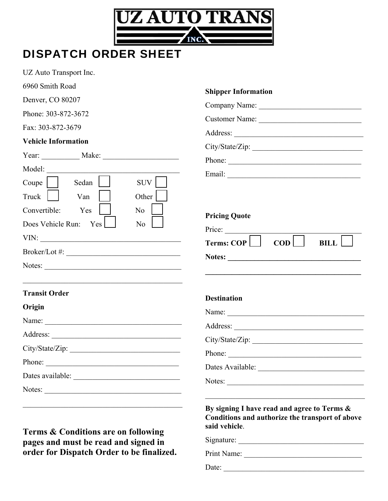

## DISPATCH ORDER SHEET

UZ Auto Transport Inc.

| 6960 Smith Road                       | <b>Shipper Information</b>                                  |
|---------------------------------------|-------------------------------------------------------------|
| Denver, CO 80207                      |                                                             |
| Phone: 303-872-3672                   |                                                             |
| Fax: 303-872-3679                     |                                                             |
| <b>Vehicle Information</b>            | Address:                                                    |
|                                       |                                                             |
| Model:                                | Phone:                                                      |
| SUV  <br>Sedan<br>Coupe               |                                                             |
| Other<br>Truck<br>Van                 |                                                             |
| Convertible:<br>Yes<br>N <sub>o</sub> | <b>Pricing Quote</b>                                        |
| Does Vehicle Run:<br>Yes<br>No        |                                                             |
|                                       | Price:<br>$\overline{COD}$<br><b>BILL</b>                   |
| $Broker/Lot \#:\_$                    |                                                             |
| Notes:                                | <u> 1989 - Johann Stoff, amerikansk politiker (d. 1989)</u> |
| <b>Transit Order</b>                  | <b>Destination</b>                                          |
| Origin                                |                                                             |
|                                       |                                                             |
|                                       |                                                             |
|                                       |                                                             |
| Phone:                                | Phone:                                                      |
|                                       |                                                             |
| Notes:                                | Notes:                                                      |
|                                       | By signing I have read and agree to Terms &                 |
|                                       | Conditions and authorize the transport of above             |

**Terms & Conditions are on following pages and must be read and signed in order for Dispatch Order to be finalized.** 

| Price:                          |            |             |
|---------------------------------|------------|-------------|
| Terms: $\mathsf{COP} \bigsqcup$ | <b>COD</b> | <b>BILL</b> |

## and agree to Terms  $\&$ **Conditions and authorize the transport of above said vehicle**.

Signature: \_\_\_\_\_\_\_\_\_\_\_\_\_\_\_\_\_\_\_\_\_\_\_\_\_\_\_\_\_\_\_\_\_

Print Name: \_\_\_\_\_\_\_\_\_\_\_\_\_\_\_\_\_\_\_\_\_\_\_\_\_\_\_\_\_\_\_

Date: \_\_\_\_\_\_\_\_\_\_\_\_\_\_\_\_\_\_\_\_\_\_\_\_\_\_\_\_\_\_\_\_\_\_\_\_\_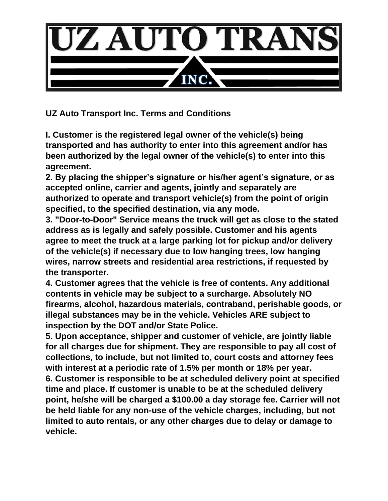

**UZ Auto Transport Inc. Terms and Conditions**

**I. Customer is the registered legal owner of the vehicle(s) being transported and has authority to enter into this agreement and/or has been authorized by the legal owner of the vehicle(s) to enter into this agreement.**

**2. By placing the shipper's signature or his/her agent's signature, or as accepted online, carrier and agents, jointly and separately are authorized to operate and transport vehicle(s) from the point of origin specified, to the specified destination, via any mode.**

**3. "Door-to-Door" Service means the truck will get as close to the stated address as is legally and safely possible. Customer and his agents agree to meet the truck at a large parking lot for pickup and/or delivery of the vehicle(s) if necessary due to low hanging trees, low hanging wires, narrow streets and residential area restrictions, if requested by the transporter.**

**4. Customer agrees that the vehicle is free of contents. Any additional contents in vehicle may be subject to a surcharge. Absolutely NO firearms, alcohol, hazardous materials, contraband, perishable goods, or illegal substances may be in the vehicle. Vehicles ARE subject to inspection by the DOT and/or State Police.**

**5. Upon acceptance, shipper and customer of vehicle, are jointly liable for all charges due for shipment. They are responsible to pay all cost of collections, to include, but not limited to, court costs and attorney fees with interest at a periodic rate of 1.5% per month or 18% per year. 6. Customer is responsible to be at scheduled delivery point at specified time and place. If customer is unable to be at the scheduled delivery point, he/she will be charged a \$100.00 a day storage fee. Carrier will not be held liable for any non-use of the vehicle charges, including, but not limited to auto rentals, or any other charges due to delay or damage to vehicle.**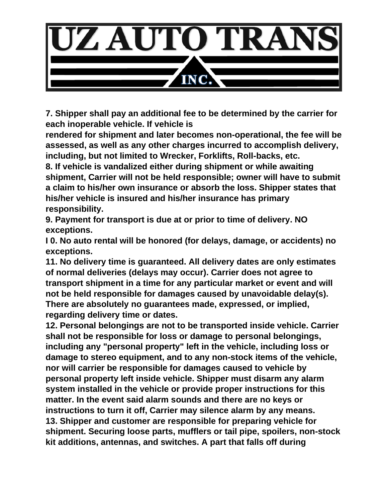

**7. Shipper shall pay an additional fee to be determined by the carrier for each inoperable vehicle. If vehicle is**

**rendered for shipment and later becomes non-operational, the fee will be assessed, as well as any other charges incurred to accomplish delivery, including, but not limited to Wrecker, Forklifts, Roll-backs, etc.**

**8. If vehicle is vandalized either during shipment or while awaiting shipment, Carrier will not be held responsible; owner will have to submit a claim to his/her own insurance or absorb the loss. Shipper states that his/her vehicle is insured and his/her insurance has primary responsibility.**

**9. Payment for transport is due at or prior to time of delivery. NO exceptions.**

**I 0. No auto rental will be honored (for delays, damage, or accidents) no exceptions.**

**11. No delivery time is guaranteed. All delivery dates are only estimates of normal deliveries (delays may occur). Carrier does not agree to transport shipment in a time for any particular market or event and will not be held responsible for damages caused by unavoidable delay(s). There are absolutely no guarantees made, expressed, or implied, regarding delivery time or dates.**

**12. Personal belongings are not to be transported inside vehicle. Carrier shall not be responsible for loss or damage to personal belongings, including any "personal property" left in the vehicle, including loss or damage to stereo equipment, and to any non-stock items of the vehicle, nor will carrier be responsible for damages caused to vehicle by personal property left inside vehicle. Shipper must disarm any alarm system installed in the vehicle or provide proper instructions for this matter. In the event said alarm sounds and there are no keys or instructions to turn it off, Carrier may silence alarm by any means. 13. Shipper and customer are responsible for preparing vehicle for shipment. Securing loose parts, mufflers or tail pipe, spoilers, non-stock kit additions, antennas, and switches. A part that falls off during**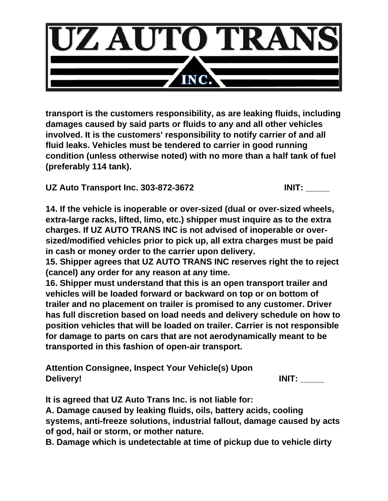

**transport is the customers responsibility, as are leaking fluids, including damages caused by said parts or fluids to any and all other vehicles involved. It is the customers' responsibility to notify carrier of and all fluid leaks. Vehicles must be tendered to carrier in good running condition (unless otherwise noted) with no more than a half tank of fuel (preferably 114 tank).**

**UZ Auto Transport Inc. 303-872-3672 INIT: \_\_\_\_\_**

**14. If the vehicle is inoperable or over-sized (dual or over-sized wheels, extra-large racks, lifted, limo, etc.) shipper must inquire as to the extra charges. If UZ AUTO TRANS INC is not advised of inoperable or oversized/modified vehicles prior to pick up, all extra charges must be paid in cash or money order to the carrier upon delivery.**

**15. Shipper agrees that UZ AUTO TRANS INC reserves right the to reject (cancel) any order for any reason at any time.**

**16. Shipper must understand that this is an open transport trailer and vehicles will be loaded forward or backward on top or on bottom of trailer and no placement on trailer is promised to any customer. Driver has full discretion based on load needs and delivery schedule on how to position vehicles that will be loaded on trailer. Carrier is not responsible for damage to parts on cars that are not aerodynamically meant to be transported in this fashion of open-air transport.**

**Attention Consignee, Inspect Your Vehicle(s) Upon Delivery! INIT: \_\_\_\_\_**

**It is agreed that UZ Auto Trans Inc. is not liable for:**

**A. Damage caused by leaking fluids, oils, battery acids, cooling systems, anti-freeze solutions, industrial fallout, damage caused by acts of god, hail or storm, or mother nature.**

**B. Damage which is undetectable at time of pickup due to vehicle dirty**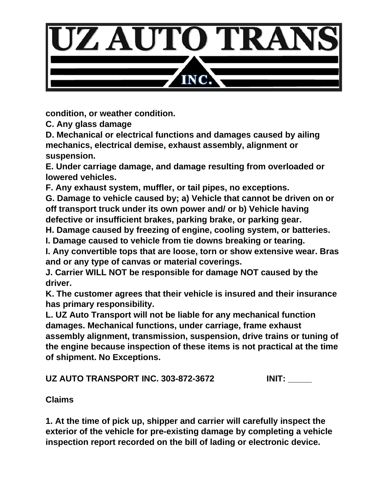

**condition, or weather condition.**

**C. Any glass damage**

**D. Mechanical or electrical functions and damages caused by ailing mechanics, electrical demise, exhaust assembly, alignment or suspension.**

**E. Under carriage damage, and damage resulting from overloaded or lowered vehicles.**

**F. Any exhaust system, muffler, or tail pipes, no exceptions.**

**G. Damage to vehicle caused by; a) Vehicle that cannot be driven on or off transport truck under its own power and/ or b) Vehicle having defective or insufficient brakes, parking brake, or parking gear.**

**H. Damage caused by freezing of engine, cooling system, or batteries.**

**I. Damage caused to vehicle from tie downs breaking or tearing.**

**I. Any convertible tops that are loose, torn or show extensive wear. Bras and or any type of canvas or material coverings.**

**J. Carrier WILL NOT be responsible for damage NOT caused by the driver.**

**K. The customer agrees that their vehicle is insured and their insurance has primary responsibility.**

**L. UZ Auto Transport will not be liable for any mechanical function damages. Mechanical functions, under carriage, frame exhaust assembly alignment, transmission, suspension, drive trains or tuning of the engine because inspection of these items is not practical at the time of shipment. No Exceptions.**

**UZ AUTO TRANSPORT INC. 303-872-3672 INIT: \_\_\_\_\_**

**Claims**

**1. At the time of pick up, shipper and carrier will carefully inspect the exterior of the vehicle for pre-existing damage by completing a vehicle inspection report recorded on the bill of lading or electronic device.**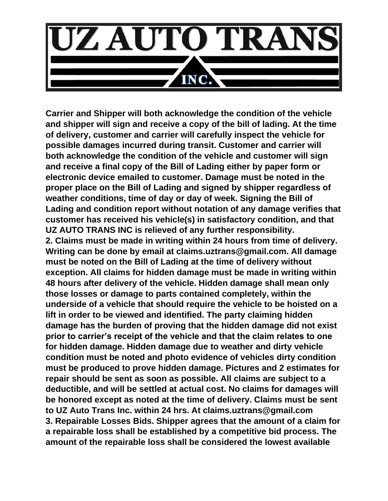

**Carrier and Shipper will both acknowledge the condition of the vehicle and shipper will sign and receive a copy of the bill of lading. At the time of delivery, customer and carrier will carefully inspect the vehicle for possible damages incurred during transit. Customer and carrier will both acknowledge the condition of the vehicle and customer will sign and receive a final copy of the Bill of Lading either by paper form or electronic device emailed to customer. Damage must be noted in the proper place on the Bill of Lading and signed by shipper regardless of weather conditions, time of day or day of week. Signing the Bill of Lading and condition report without notation of any damage verifies that customer has received his vehicle(s) in satisfactory condition, and that UZ AUTO TRANS INC is relieved of any further responsibility. 2. Claims must be made in writing within 24 hours from time of delivery. Writing can be done by email at claims.uztrans@gmail.com. All damage must be noted on the Bill of Lading at the time of delivery without exception. All claims for hidden damage must be made in writing within 48 hours after delivery of the vehicle. Hidden damage shall mean only those losses or damage to parts contained completely, within the underside of a vehicle that should require the vehicle to be hoisted on a lift in order to be viewed and identified. The party claiming hidden damage has the burden of proving that the hidden damage did not exist prior to carrier's receipt of the vehicle and that the claim relates to one for hidden damage. Hidden damage due to weather and dirty vehicle condition must be noted and photo evidence of vehicles dirty condition must be produced to prove hidden damage. Pictures and 2 estimates for repair should be sent as soon as possible. All claims are subject to a deductible, and will be settled at actual cost. No claims for damages will be honored except as noted at the time of delivery. Claims must be sent to UZ Auto Trans Inc. within 24 hrs. At claims.uztrans@gmail.com 3. Repairable Losses Bids. Shipper agrees that the amount of a claim for a repairable loss shall be established by a competitive bid process. The amount of the repairable loss shall be considered the lowest available**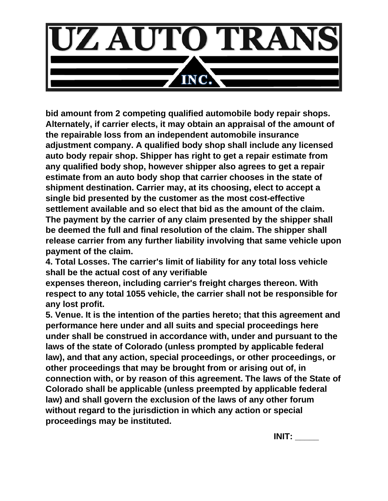

**bid amount from 2 competing qualified automobile body repair shops. Alternately, if carrier elects, it may obtain an appraisal of the amount of the repairable loss from an independent automobile insurance adjustment company. A qualified body shop shall include any licensed auto body repair shop. Shipper has right to get a repair estimate from any qualified body shop, however shipper also agrees to get a repair estimate from an auto body shop that carrier chooses in the state of shipment destination. Carrier may, at its choosing, elect to accept a single bid presented by the customer as the most cost-effective settlement available and so elect that bid as the amount of the claim. The payment by the carrier of any claim presented by the shipper shall be deemed the full and final resolution of the claim. The shipper shall release carrier from any further liability involving that same vehicle upon payment of the claim.**

**4. Total Losses. The carrier's limit of liability for any total loss vehicle shall be the actual cost of any verifiable**

**expenses thereon, including carrier's freight charges thereon. With respect to any total 1055 vehicle, the carrier shall not be responsible for any lost profit.**

**5. Venue. It is the intention of the parties hereto; that this agreement and performance here under and all suits and special proceedings here under shall be construed in accordance with, under and pursuant to the laws of the state of Colorado (unless prompted by applicable federal law), and that any action, special proceedings, or other proceedings, or other proceedings that may be brought from or arising out of, in connection with, or by reason of this agreement. The laws of the State of Colorado shall be applicable (unless preempted by applicable federal law) and shall govern the exclusion of the laws of any other forum without regard to the jurisdiction in which any action or special proceedings may be instituted.** 

**INIT: \_\_\_\_\_**